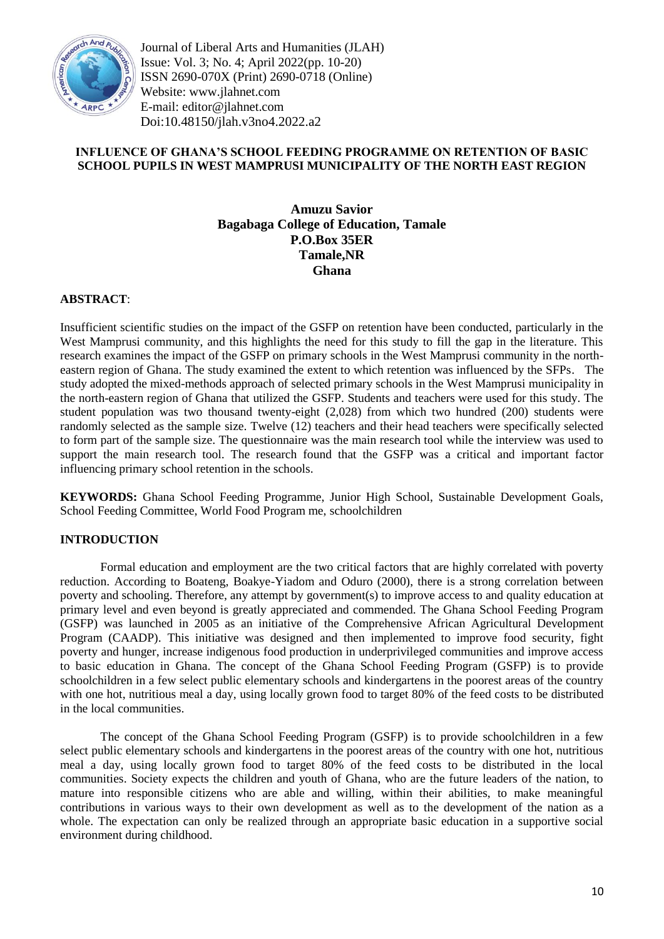

Journal of Liberal Arts and Humanities (JLAH) Issue: Vol. 3; No. 4; April 2022(pp. 10-20) ISSN 2690-070X (Print) 2690-0718 (Online) Website: www.jlahnet.com E-mail: editor@jlahnet.com Doi:10.48150/jlah.v3no4.2022.a2

# **INFLUENCE OF GHANA'S SCHOOL FEEDING PROGRAMME ON RETENTION OF BASIC SCHOOL PUPILS IN WEST MAMPRUSI MUNICIPALITY OF THE NORTH EAST REGION**

# **Amuzu Savior Bagabaga College of Education, Tamale P.O.Box 35ER Tamale,NR Ghana**

# **ABSTRACT**:

Insufficient scientific studies on the impact of the GSFP on retention have been conducted, particularly in the West Mamprusi community, and this highlights the need for this study to fill the gap in the literature. This research examines the impact of the GSFP on primary schools in the West Mamprusi community in the northeastern region of Ghana. The study examined the extent to which retention was influenced by the SFPs. The study adopted the mixed-methods approach of selected primary schools in the West Mamprusi municipality in the north-eastern region of Ghana that utilized the GSFP. Students and teachers were used for this study. The student population was two thousand twenty-eight (2,028) from which two hundred (200) students were randomly selected as the sample size. Twelve (12) teachers and their head teachers were specifically selected to form part of the sample size. The questionnaire was the main research tool while the interview was used to support the main research tool. The research found that the GSFP was a critical and important factor influencing primary school retention in the schools.

**KEYWORDS:** Ghana School Feeding Programme, Junior High School, Sustainable Development Goals, School Feeding Committee, World Food Program me, schoolchildren

## **INTRODUCTION**

Formal education and employment are the two critical factors that are highly correlated with poverty reduction. According to Boateng, Boakye-Yiadom and Oduro (2000), there is a strong correlation between poverty and schooling. Therefore, any attempt by government(s) to improve access to and quality education at primary level and even beyond is greatly appreciated and commended. The Ghana School Feeding Program (GSFP) was launched in 2005 as an initiative of the Comprehensive African Agricultural Development Program (CAADP). This initiative was designed and then implemented to improve food security, fight poverty and hunger, increase indigenous food production in underprivileged communities and improve access to basic education in Ghana. The concept of the Ghana School Feeding Program (GSFP) is to provide schoolchildren in a few select public elementary schools and kindergartens in the poorest areas of the country with one hot, nutritious meal a day, using locally grown food to target 80% of the feed costs to be distributed in the local communities.

The concept of the Ghana School Feeding Program (GSFP) is to provide schoolchildren in a few select public elementary schools and kindergartens in the poorest areas of the country with one hot, nutritious meal a day, using locally grown food to target 80% of the feed costs to be distributed in the local communities. Society expects the children and youth of Ghana, who are the future leaders of the nation, to mature into responsible citizens who are able and willing, within their abilities, to make meaningful contributions in various ways to their own development as well as to the development of the nation as a whole. The expectation can only be realized through an appropriate basic education in a supportive social environment during childhood.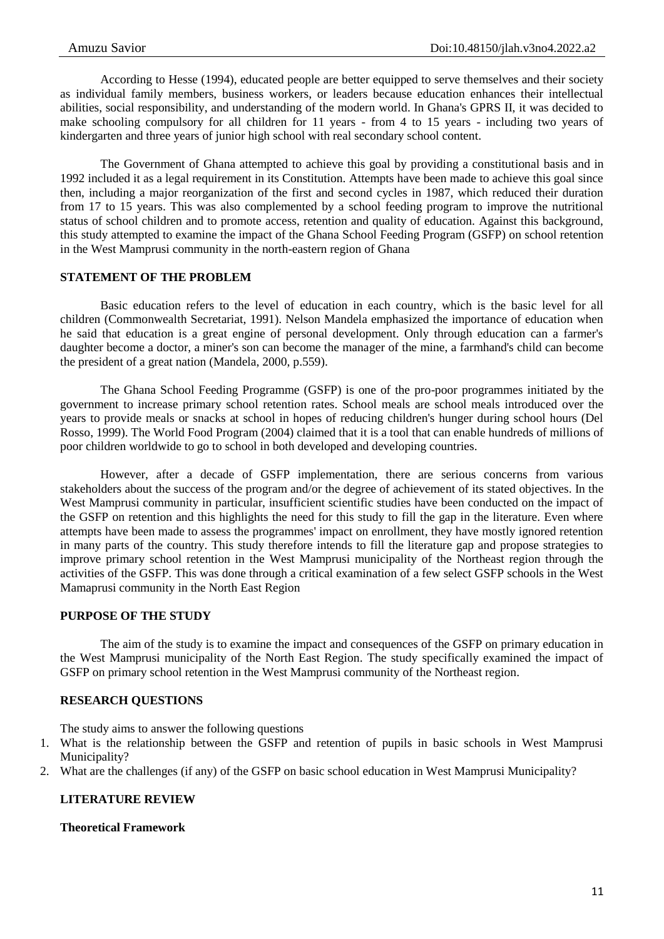According to Hesse (1994), educated people are better equipped to serve themselves and their society as individual family members, business workers, or leaders because education enhances their intellectual abilities, social responsibility, and understanding of the modern world. In Ghana's GPRS II, it was decided to make schooling compulsory for all children for 11 years - from 4 to 15 years - including two years of kindergarten and three years of junior high school with real secondary school content.

The Government of Ghana attempted to achieve this goal by providing a constitutional basis and in 1992 included it as a legal requirement in its Constitution. Attempts have been made to achieve this goal since then, including a major reorganization of the first and second cycles in 1987, which reduced their duration from 17 to 15 years. This was also complemented by a school feeding program to improve the nutritional status of school children and to promote access, retention and quality of education. Against this background, this study attempted to examine the impact of the Ghana School Feeding Program (GSFP) on school retention in the West Mamprusi community in the north-eastern region of Ghana

### **STATEMENT OF THE PROBLEM**

Basic education refers to the level of education in each country, which is the basic level for all children (Commonwealth Secretariat, 1991). Nelson Mandela emphasized the importance of education when he said that education is a great engine of personal development. Only through education can a farmer's daughter become a doctor, a miner's son can become the manager of the mine, a farmhand's child can become the president of a great nation (Mandela, 2000, p.559).

The Ghana School Feeding Programme (GSFP) is one of the pro-poor programmes initiated by the government to increase primary school retention rates. School meals are school meals introduced over the years to provide meals or snacks at school in hopes of reducing children's hunger during school hours (Del Rosso, 1999). The World Food Program (2004) claimed that it is a tool that can enable hundreds of millions of poor children worldwide to go to school in both developed and developing countries.

However, after a decade of GSFP implementation, there are serious concerns from various stakeholders about the success of the program and/or the degree of achievement of its stated objectives. In the West Mamprusi community in particular, insufficient scientific studies have been conducted on the impact of the GSFP on retention and this highlights the need for this study to fill the gap in the literature. Even where attempts have been made to assess the programmes' impact on enrollment, they have mostly ignored retention in many parts of the country. This study therefore intends to fill the literature gap and propose strategies to improve primary school retention in the West Mamprusi municipality of the Northeast region through the activities of the GSFP. This was done through a critical examination of a few select GSFP schools in the West Mamaprusi community in the North East Region

### **PURPOSE OF THE STUDY**

The aim of the study is to examine the impact and consequences of the GSFP on primary education in the West Mamprusi municipality of the North East Region. The study specifically examined the impact of GSFP on primary school retention in the West Mamprusi community of the Northeast region.

## **RESEARCH QUESTIONS**

The study aims to answer the following questions

- 1. What is the relationship between the GSFP and retention of pupils in basic schools in West Mamprusi Municipality?
- 2. What are the challenges (if any) of the GSFP on basic school education in West Mamprusi Municipality?

### **LITERATURE REVIEW**

## **Theoretical Framework**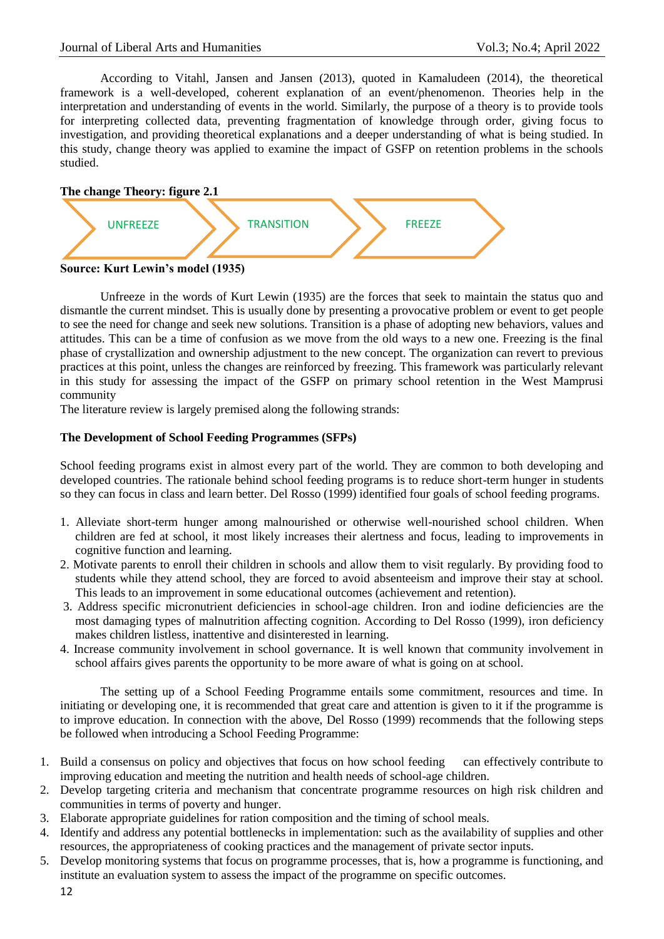According to Vitahl, Jansen and Jansen (2013), quoted in Kamaludeen (2014), the theoretical framework is a well-developed, coherent explanation of an event/phenomenon. Theories help in the interpretation and understanding of events in the world. Similarly, the purpose of a theory is to provide tools for interpreting collected data, preventing fragmentation of knowledge through order, giving focus to investigation, and providing theoretical explanations and a deeper understanding of what is being studied. In this study, change theory was applied to examine the impact of GSFP on retention problems in the schools studied.



Unfreeze in the words of Kurt Lewin (1935) are the forces that seek to maintain the status quo and dismantle the current mindset. This is usually done by presenting a provocative problem or event to get people to see the need for change and seek new solutions. Transition is a phase of adopting new behaviors, values and attitudes. This can be a time of confusion as we move from the old ways to a new one. Freezing is the final phase of crystallization and ownership adjustment to the new concept. The organization can revert to previous practices at this point, unless the changes are reinforced by freezing. This framework was particularly relevant in this study for assessing the impact of the GSFP on primary school retention in the West Mamprusi community

The literature review is largely premised along the following strands:

# **The Development of School Feeding Programmes (SFPs)**

School feeding programs exist in almost every part of the world. They are common to both developing and developed countries. The rationale behind school feeding programs is to reduce short-term hunger in students so they can focus in class and learn better. Del Rosso (1999) identified four goals of school feeding programs.

- 1. Alleviate short-term hunger among malnourished or otherwise well-nourished school children. When children are fed at school, it most likely increases their alertness and focus, leading to improvements in cognitive function and learning.
- 2. Motivate parents to enroll their children in schools and allow them to visit regularly. By providing food to students while they attend school, they are forced to avoid absenteeism and improve their stay at school. This leads to an improvement in some educational outcomes (achievement and retention).
- 3. Address specific micronutrient deficiencies in school-age children. Iron and iodine deficiencies are the most damaging types of malnutrition affecting cognition. According to Del Rosso (1999), iron deficiency makes children listless, inattentive and disinterested in learning.
- 4. Increase community involvement in school governance. It is well known that community involvement in school affairs gives parents the opportunity to be more aware of what is going on at school.

The setting up of a School Feeding Programme entails some commitment, resources and time. In initiating or developing one, it is recommended that great care and attention is given to it if the programme is to improve education. In connection with the above, Del Rosso (1999) recommends that the following steps be followed when introducing a School Feeding Programme:

- 1. Build a consensus on policy and objectives that focus on how school feeding can effectively contribute to improving education and meeting the nutrition and health needs of school-age children.
- 2. Develop targeting criteria and mechanism that concentrate programme resources on high risk children and communities in terms of poverty and hunger.
- 3. Elaborate appropriate guidelines for ration composition and the timing of school meals.
- 4. Identify and address any potential bottlenecks in implementation: such as the availability of supplies and other resources, the appropriateness of cooking practices and the management of private sector inputs.
- 5. Develop monitoring systems that focus on programme processes, that is, how a programme is functioning, and institute an evaluation system to assess the impact of the programme on specific outcomes.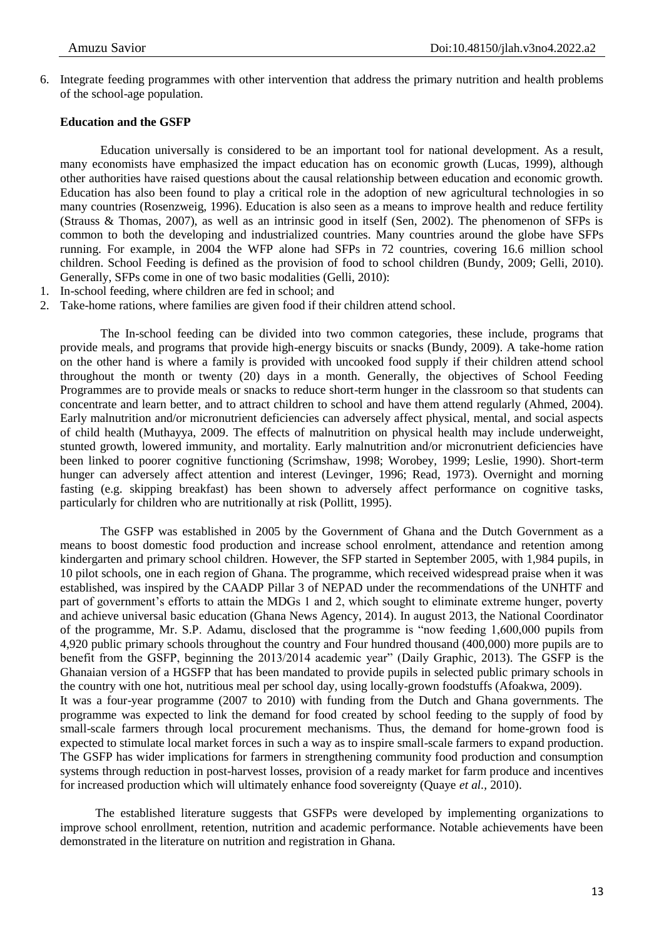6. Integrate feeding programmes with other intervention that address the primary nutrition and health problems of the school-age population.

#### **Education and the GSFP**

Education universally is considered to be an important tool for national development. As a result, many economists have emphasized the impact education has on economic growth (Lucas, 1999), although other authorities have raised questions about the causal relationship between education and economic growth. Education has also been found to play a critical role in the adoption of new agricultural technologies in so many countries (Rosenzweig, 1996). Education is also seen as a means to improve health and reduce fertility (Strauss & Thomas, 2007), as well as an intrinsic good in itself (Sen, 2002). The phenomenon of SFPs is common to both the developing and industrialized countries. Many countries around the globe have SFPs running. For example, in 2004 the WFP alone had SFPs in 72 countries, covering 16.6 million school children. School Feeding is defined as the provision of food to school children (Bundy, 2009; Gelli, 2010). Generally, SFPs come in one of two basic modalities (Gelli, 2010):

- 1. In-school feeding, where children are fed in school; and
- 2. Take-home rations, where families are given food if their children attend school.

The In-school feeding can be divided into two common categories, these include, programs that provide meals, and programs that provide high-energy biscuits or snacks (Bundy, 2009). A take-home ration on the other hand is where a family is provided with uncooked food supply if their children attend school throughout the month or twenty (20) days in a month. Generally, the objectives of School Feeding Programmes are to provide meals or snacks to reduce short-term hunger in the classroom so that students can concentrate and learn better, and to attract children to school and have them attend regularly (Ahmed, 2004). Early malnutrition and/or micronutrient deficiencies can adversely affect physical, mental, and social aspects of child health (Muthayya, 2009. The effects of malnutrition on physical health may include underweight, stunted growth, lowered immunity, and mortality. Early malnutrition and/or micronutrient deficiencies have been linked to poorer cognitive functioning (Scrimshaw, 1998; Worobey, 1999; Leslie, 1990). Short-term hunger can adversely affect attention and interest (Levinger, 1996; Read, 1973). Overnight and morning fasting (e.g. skipping breakfast) has been shown to adversely affect performance on cognitive tasks, particularly for children who are nutritionally at risk (Pollitt, 1995).

The GSFP was established in 2005 by the Government of Ghana and the Dutch Government as a means to boost domestic food production and increase school enrolment, attendance and retention among kindergarten and primary school children. However, the SFP started in September 2005, with 1,984 pupils, in 10 pilot schools, one in each region of Ghana. The programme, which received widespread praise when it was established, was inspired by the CAADP Pillar 3 of NEPAD under the recommendations of the UNHTF and part of government's efforts to attain the MDGs 1 and 2, which sought to eliminate extreme hunger, poverty and achieve universal basic education (Ghana News Agency, 2014). In august 2013, the National Coordinator of the programme, Mr. S.P. Adamu, disclosed that the programme is "now feeding 1,600,000 pupils from 4,920 public primary schools throughout the country and Four hundred thousand (400,000) more pupils are to benefit from the GSFP, beginning the 2013/2014 academic year" (Daily Graphic, 2013). The GSFP is the Ghanaian version of a HGSFP that has been mandated to provide pupils in selected public primary schools in the country with one hot, nutritious meal per school day, using locally-grown foodstuffs (Afoakwa, 2009). It was a four-year programme (2007 to 2010) with funding from the Dutch and Ghana governments. The programme was expected to link the demand for food created by school feeding to the supply of food by small-scale farmers through local procurement mechanisms. Thus, the demand for home-grown food is expected to stimulate local market forces in such a way as to inspire small-scale farmers to expand production. The GSFP has wider implications for farmers in strengthening community food production and consumption systems through reduction in post-harvest losses, provision of a ready market for farm produce and incentives for increased production which will ultimately enhance food sovereignty (Quaye *et al.,* 2010).

The established literature suggests that GSFPs were developed by implementing organizations to improve school enrollment, retention, nutrition and academic performance. Notable achievements have been demonstrated in the literature on nutrition and registration in Ghana.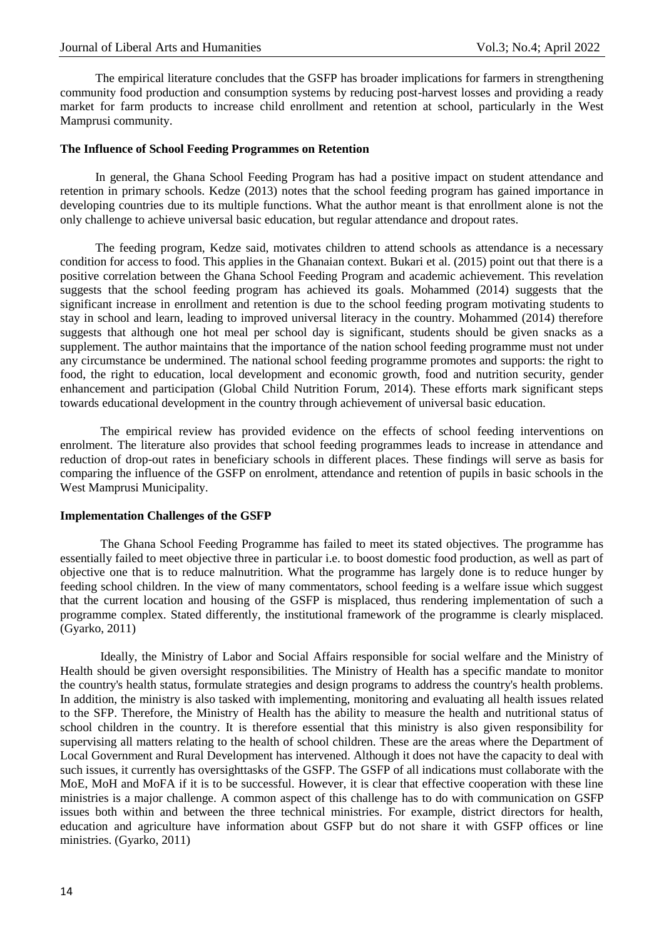The empirical literature concludes that the GSFP has broader implications for farmers in strengthening community food production and consumption systems by reducing post-harvest losses and providing a ready market for farm products to increase child enrollment and retention at school, particularly in the West Mamprusi community.

#### **The Influence of School Feeding Programmes on Retention**

In general, the Ghana School Feeding Program has had a positive impact on student attendance and retention in primary schools. Kedze (2013) notes that the school feeding program has gained importance in developing countries due to its multiple functions. What the author meant is that enrollment alone is not the only challenge to achieve universal basic education, but regular attendance and dropout rates.

The feeding program, Kedze said, motivates children to attend schools as attendance is a necessary condition for access to food. This applies in the Ghanaian context. Bukari et al. (2015) point out that there is a positive correlation between the Ghana School Feeding Program and academic achievement. This revelation suggests that the school feeding program has achieved its goals. Mohammed (2014) suggests that the significant increase in enrollment and retention is due to the school feeding program motivating students to stay in school and learn, leading to improved universal literacy in the country. Mohammed (2014) therefore suggests that although one hot meal per school day is significant, students should be given snacks as a supplement. The author maintains that the importance of the nation school feeding programme must not under any circumstance be undermined. The national school feeding programme promotes and supports: the right to food, the right to education, local development and economic growth, food and nutrition security, gender enhancement and participation (Global Child Nutrition Forum, 2014). These efforts mark significant steps towards educational development in the country through achievement of universal basic education.

The empirical review has provided evidence on the effects of school feeding interventions on enrolment. The literature also provides that school feeding programmes leads to increase in attendance and reduction of drop-out rates in beneficiary schools in different places. These findings will serve as basis for comparing the influence of the GSFP on enrolment, attendance and retention of pupils in basic schools in the West Mamprusi Municipality.

#### **Implementation Challenges of the GSFP**

The Ghana School Feeding Programme has failed to meet its stated objectives. The programme has essentially failed to meet objective three in particular i.e. to boost domestic food production, as well as part of objective one that is to reduce malnutrition. What the programme has largely done is to reduce hunger by feeding school children. In the view of many commentators, school feeding is a welfare issue which suggest that the current location and housing of the GSFP is misplaced, thus rendering implementation of such a programme complex. Stated differently, the institutional framework of the programme is clearly misplaced. (Gyarko, 2011)

Ideally, the Ministry of Labor and Social Affairs responsible for social welfare and the Ministry of Health should be given oversight responsibilities. The Ministry of Health has a specific mandate to monitor the country's health status, formulate strategies and design programs to address the country's health problems. In addition, the ministry is also tasked with implementing, monitoring and evaluating all health issues related to the SFP. Therefore, the Ministry of Health has the ability to measure the health and nutritional status of school children in the country. It is therefore essential that this ministry is also given responsibility for supervising all matters relating to the health of school children. These are the areas where the Department of Local Government and Rural Development has intervened. Although it does not have the capacity to deal with such issues, it currently has oversighttasks of the GSFP. The GSFP of all indications must collaborate with the MoE, MoH and MoFA if it is to be successful. However, it is clear that effective cooperation with these line ministries is a major challenge. A common aspect of this challenge has to do with communication on GSFP issues both within and between the three technical ministries. For example, district directors for health, education and agriculture have information about GSFP but do not share it with GSFP offices or line ministries. (Gyarko, 2011)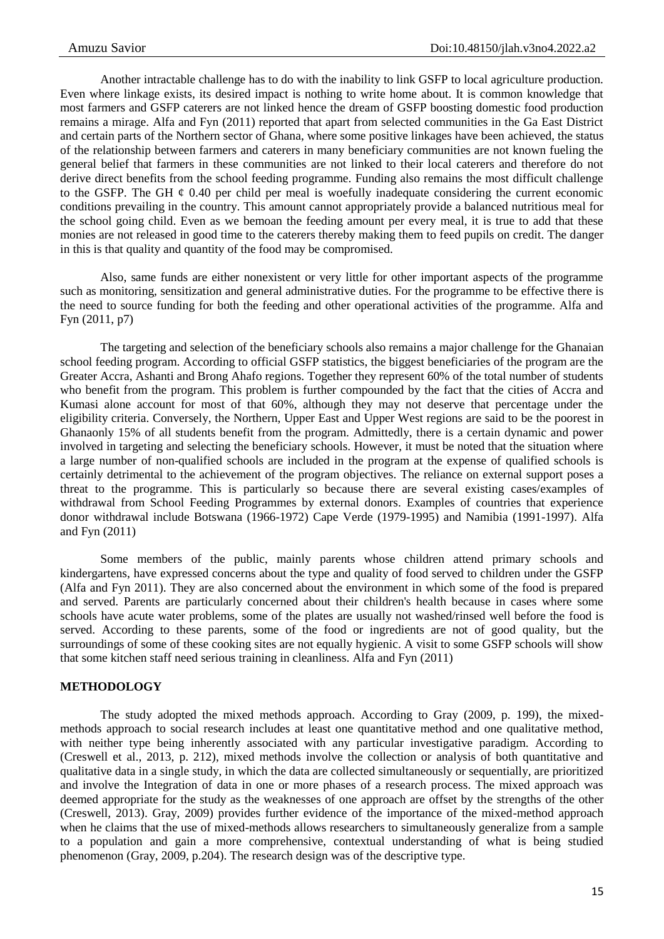Another intractable challenge has to do with the inability to link GSFP to local agriculture production. Even where linkage exists, its desired impact is nothing to write home about. It is common knowledge that most farmers and GSFP caterers are not linked hence the dream of GSFP boosting domestic food production remains a mirage. Alfa and Fyn (2011) reported that apart from selected communities in the Ga East District and certain parts of the Northern sector of Ghana, where some positive linkages have been achieved, the status of the relationship between farmers and caterers in many beneficiary communities are not known fueling the general belief that farmers in these communities are not linked to their local caterers and therefore do not derive direct benefits from the school feeding programme. Funding also remains the most difficult challenge to the GSFP. The GH  $\phi$  0.40 per child per meal is woefully inadequate considering the current economic conditions prevailing in the country. This amount cannot appropriately provide a balanced nutritious meal for the school going child. Even as we bemoan the feeding amount per every meal, it is true to add that these monies are not released in good time to the caterers thereby making them to feed pupils on credit. The danger in this is that quality and quantity of the food may be compromised.

Also, same funds are either nonexistent or very little for other important aspects of the programme such as monitoring, sensitization and general administrative duties. For the programme to be effective there is the need to source funding for both the feeding and other operational activities of the programme. Alfa and Fyn (2011, p7)

The targeting and selection of the beneficiary schools also remains a major challenge for the Ghanaian school feeding program. According to official GSFP statistics, the biggest beneficiaries of the program are the Greater Accra, Ashanti and Brong Ahafo regions. Together they represent 60% of the total number of students who benefit from the program. This problem is further compounded by the fact that the cities of Accra and Kumasi alone account for most of that 60%, although they may not deserve that percentage under the eligibility criteria. Conversely, the Northern, Upper East and Upper West regions are said to be the poorest in Ghanaonly 15% of all students benefit from the program. Admittedly, there is a certain dynamic and power involved in targeting and selecting the beneficiary schools. However, it must be noted that the situation where a large number of non-qualified schools are included in the program at the expense of qualified schools is certainly detrimental to the achievement of the program objectives. The reliance on external support poses a threat to the programme. This is particularly so because there are several existing cases/examples of withdrawal from School Feeding Programmes by external donors. Examples of countries that experience donor withdrawal include Botswana (1966-1972) Cape Verde (1979-1995) and Namibia (1991-1997). Alfa and Fyn (2011)

Some members of the public, mainly parents whose children attend primary schools and kindergartens, have expressed concerns about the type and quality of food served to children under the GSFP (Alfa and Fyn 2011). They are also concerned about the environment in which some of the food is prepared and served. Parents are particularly concerned about their children's health because in cases where some schools have acute water problems, some of the plates are usually not washed/rinsed well before the food is served. According to these parents, some of the food or ingredients are not of good quality, but the surroundings of some of these cooking sites are not equally hygienic. A visit to some GSFP schools will show that some kitchen staff need serious training in cleanliness. Alfa and Fyn (2011)

## **METHODOLOGY**

The study adopted the mixed methods approach. According to Gray (2009, p. 199), the mixedmethods approach to social research includes at least one quantitative method and one qualitative method, with neither type being inherently associated with any particular investigative paradigm. According to (Creswell et al., 2013, p. 212), mixed methods involve the collection or analysis of both quantitative and qualitative data in a single study, in which the data are collected simultaneously or sequentially, are prioritized and involve the Integration of data in one or more phases of a research process. The mixed approach was deemed appropriate for the study as the weaknesses of one approach are offset by the strengths of the other (Creswell, 2013). Gray, 2009) provides further evidence of the importance of the mixed-method approach when he claims that the use of mixed-methods allows researchers to simultaneously generalize from a sample to a population and gain a more comprehensive, contextual understanding of what is being studied phenomenon (Gray, 2009, p.204). The research design was of the descriptive type.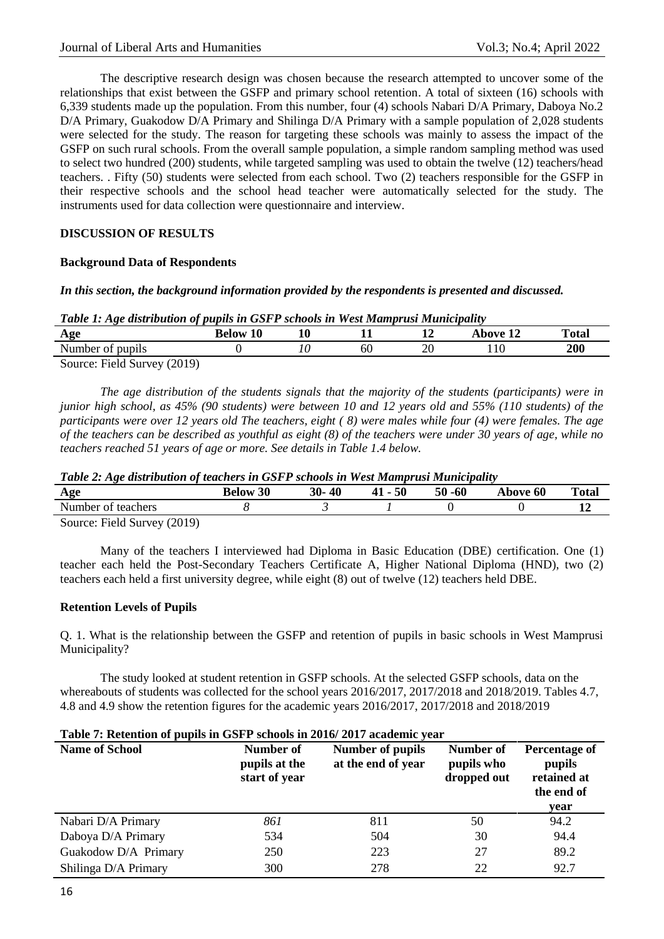The descriptive research design was chosen because the research attempted to uncover some of the relationships that exist between the GSFP and primary school retention. A total of sixteen (16) schools with 6,339 students made up the population. From this number, four (4) schools Nabari D/A Primary, Daboya No.2 D/A Primary, Guakodow D/A Primary and Shilinga D/A Primary with a sample population of 2,028 students were selected for the study. The reason for targeting these schools was mainly to assess the impact of the GSFP on such rural schools. From the overall sample population, a simple random sampling method was used to select two hundred (200) students, while targeted sampling was used to obtain the twelve (12) teachers/head teachers. . Fifty (50) students were selected from each school. Two (2) teachers responsible for the GSFP in their respective schools and the school head teacher were automatically selected for the study. The instruments used for data collection were questionnaire and interview.

# **DISCUSSION OF RESULTS**

### **Background Data of Respondents**

# *In this section, the background information provided by the respondents is presented and discussed.*

| . .<br>Age                  | <b>10</b><br>Below | 1 Л<br>ΠU |    | 10<br>┸ | bove 12 | <b>Total</b> |
|-----------------------------|--------------------|-----------|----|---------|---------|--------------|
| Number of pupils            |                    | 0         | 60 | 20      | 10      | <b>200</b>   |
| Source: Field Survey (2019) |                    |           |    |         |         |              |

*The age distribution of the students signals that the majority of the students (participants) were in junior high school, as 45% (90 students) were between 10 and 12 years old and 55% (110 students) of the participants were over 12 years old The teachers, eight ( 8) were males while four (4) were females. The age of the teachers can be described as youthful as eight (8) of the teachers were under 30 years of age, while no teachers reached 51 years of age or more. See details in Table 1.4 below.*

*Table 2: Age distribution of teachers in GSFP schools in West Mamprusi Municipality*

| Age                         | <b>Below 30</b> | 30-40 | $41 - 50$ | 50 -60 | Above 60 | <b>Total</b> |
|-----------------------------|-----------------|-------|-----------|--------|----------|--------------|
| Number of teachers          |                 |       |           |        |          |              |
| Source: Field Survey (2019) |                 |       |           |        |          |              |

Many of the teachers I interviewed had Diploma in Basic Education (DBE) certification. One (1) teacher each held the Post-Secondary Teachers Certificate A, Higher National Diploma (HND), two (2) teachers each held a first university degree, while eight (8) out of twelve (12) teachers held DBE.

### **Retention Levels of Pupils**

Q. 1. What is the relationship between the GSFP and retention of pupils in basic schools in West Mamprusi Municipality?

The study looked at student retention in GSFP schools. At the selected GSFP schools, data on the whereabouts of students was collected for the school years 2016/2017, 2017/2018 and 2018/2019. Tables 4.7, 4.8 and 4.9 show the retention figures for the academic years 2016/2017, 2017/2018 and 2018/2019

#### **Table 7: Retention of pupils in GSFP schools in 2016/ 2017 academic year**

| $\mathbf{r}$ . The state $\mathbf{r}$<br><b>Name of School</b> | <b>Number of</b><br>pupils at the<br>start of year | Number of pupils<br>at the end of year | Number of<br>pupils who<br>dropped out | Percentage of<br>pupils<br>retained at<br>the end of<br>year |
|----------------------------------------------------------------|----------------------------------------------------|----------------------------------------|----------------------------------------|--------------------------------------------------------------|
| Nabari D/A Primary                                             | 861                                                | 811                                    | 50                                     | 94.2                                                         |
| Daboya D/A Primary                                             | 534                                                | 504                                    | 30                                     | 94.4                                                         |
| Guakodow D/A Primary                                           | 250                                                | 223                                    | 27                                     | 89.2                                                         |
| Shilinga D/A Primary                                           | 300                                                | 278                                    | 22                                     | 92.7                                                         |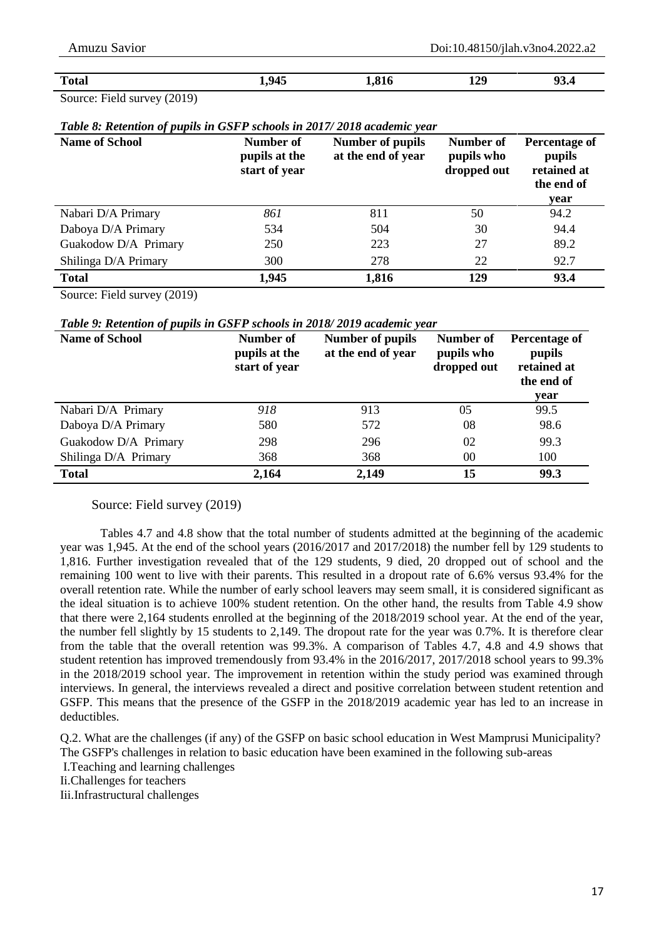| <b>Total</b> |     |   | 1,945 | .017<br>1,810 | 129 | ሰኅ<br>93.4 |
|--------------|-----|---|-------|---------------|-----|------------|
| --           | --- | . |       |               |     |            |

Source: Field survey (2019)

|  |  |  |  | Table 8: Retention of pupils in GSFP schools in 2017/2018 academic year |
|--|--|--|--|-------------------------------------------------------------------------|
|--|--|--|--|-------------------------------------------------------------------------|

| <b>Name of School</b> | Number of<br>pupils at the<br>start of year | Number of pupils<br>at the end of year | Number of<br>pupils who<br>dropped out | Percentage of<br>pupils<br>retained at<br>the end of<br>year |
|-----------------------|---------------------------------------------|----------------------------------------|----------------------------------------|--------------------------------------------------------------|
| Nabari D/A Primary    | 861                                         | 811                                    | 50                                     | 94.2                                                         |
| Daboya D/A Primary    | 534                                         | 504                                    | 30                                     | 94.4                                                         |
| Guakodow D/A Primary  | 250                                         | 223                                    | 27                                     | 89.2                                                         |
| Shilinga D/A Primary  | 300                                         | 278                                    | 22                                     | 92.7                                                         |
| <b>Total</b>          | 1,945                                       | 1,816                                  | 129                                    | 93.4                                                         |

Source: Field survey (2019)

*Table 9: Retention of pupils in GSFP schools in 2018/ 2019 academic year*

| <b>Name of School</b> | Number of<br>pupils at the<br>start of year | Number of pupils<br>at the end of year | Number of<br>pupils who<br>dropped out | Percentage of<br>pupils<br>retained at<br>the end of<br>year |
|-----------------------|---------------------------------------------|----------------------------------------|----------------------------------------|--------------------------------------------------------------|
| Nabari D/A Primary    | 918                                         | 913                                    | 0 <sub>5</sub>                         | 99.5                                                         |
| Daboya D/A Primary    | 580                                         | 572                                    | 08                                     | 98.6                                                         |
| Guakodow D/A Primary  | 298                                         | 296                                    | 02                                     | 99.3                                                         |
| Shilinga D/A Primary  | 368                                         | 368                                    | 00                                     | 100                                                          |
| <b>Total</b>          | 2,164                                       | 2,149                                  | 15                                     | 99.3                                                         |

Source: Field survey (2019)

Tables 4.7 and 4.8 show that the total number of students admitted at the beginning of the academic year was 1,945. At the end of the school years (2016/2017 and 2017/2018) the number fell by 129 students to 1,816. Further investigation revealed that of the 129 students, 9 died, 20 dropped out of school and the remaining 100 went to live with their parents. This resulted in a dropout rate of 6.6% versus 93.4% for the overall retention rate. While the number of early school leavers may seem small, it is considered significant as the ideal situation is to achieve 100% student retention. On the other hand, the results from Table 4.9 show that there were 2,164 students enrolled at the beginning of the 2018/2019 school year. At the end of the year, the number fell slightly by 15 students to 2,149. The dropout rate for the year was 0.7%. It is therefore clear from the table that the overall retention was 99.3%. A comparison of Tables 4.7, 4.8 and 4.9 shows that student retention has improved tremendously from 93.4% in the 2016/2017, 2017/2018 school years to 99.3% in the 2018/2019 school year. The improvement in retention within the study period was examined through interviews. In general, the interviews revealed a direct and positive correlation between student retention and GSFP. This means that the presence of the GSFP in the 2018/2019 academic year has led to an increase in deductibles.

Q.2. What are the challenges (if any) of the GSFP on basic school education in West Mamprusi Municipality? The GSFP's challenges in relation to basic education have been examined in the following sub-areas

I.Teaching and learning challenges

Ii.Challenges for teachers

Iii.Infrastructural challenges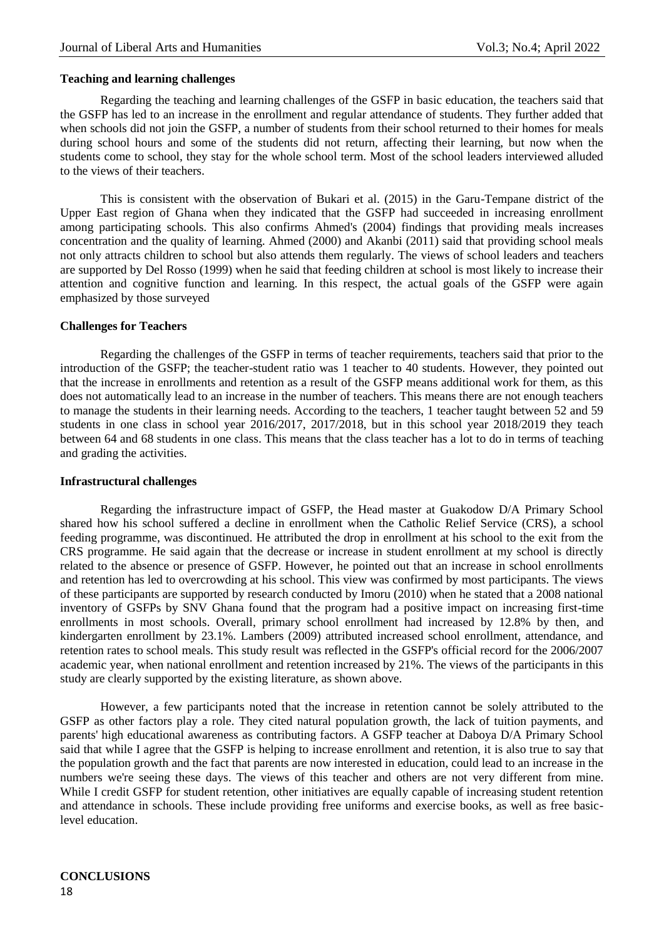## **Teaching and learning challenges**

Regarding the teaching and learning challenges of the GSFP in basic education, the teachers said that the GSFP has led to an increase in the enrollment and regular attendance of students. They further added that when schools did not join the GSFP, a number of students from their school returned to their homes for meals during school hours and some of the students did not return, affecting their learning, but now when the students come to school, they stay for the whole school term. Most of the school leaders interviewed alluded to the views of their teachers.

This is consistent with the observation of Bukari et al. (2015) in the Garu-Tempane district of the Upper East region of Ghana when they indicated that the GSFP had succeeded in increasing enrollment among participating schools. This also confirms Ahmed's (2004) findings that providing meals increases concentration and the quality of learning. Ahmed (2000) and Akanbi (2011) said that providing school meals not only attracts children to school but also attends them regularly. The views of school leaders and teachers are supported by Del Rosso (1999) when he said that feeding children at school is most likely to increase their attention and cognitive function and learning. In this respect, the actual goals of the GSFP were again emphasized by those surveyed

# **Challenges for Teachers**

Regarding the challenges of the GSFP in terms of teacher requirements, teachers said that prior to the introduction of the GSFP; the teacher-student ratio was 1 teacher to 40 students. However, they pointed out that the increase in enrollments and retention as a result of the GSFP means additional work for them, as this does not automatically lead to an increase in the number of teachers. This means there are not enough teachers to manage the students in their learning needs. According to the teachers, 1 teacher taught between 52 and 59 students in one class in school year 2016/2017, 2017/2018, but in this school year 2018/2019 they teach between 64 and 68 students in one class. This means that the class teacher has a lot to do in terms of teaching and grading the activities.

### **Infrastructural challenges**

Regarding the infrastructure impact of GSFP, the Head master at Guakodow D/A Primary School shared how his school suffered a decline in enrollment when the Catholic Relief Service (CRS), a school feeding programme, was discontinued. He attributed the drop in enrollment at his school to the exit from the CRS programme. He said again that the decrease or increase in student enrollment at my school is directly related to the absence or presence of GSFP. However, he pointed out that an increase in school enrollments and retention has led to overcrowding at his school. This view was confirmed by most participants. The views of these participants are supported by research conducted by Imoru (2010) when he stated that a 2008 national inventory of GSFPs by SNV Ghana found that the program had a positive impact on increasing first-time enrollments in most schools. Overall, primary school enrollment had increased by 12.8% by then, and kindergarten enrollment by 23.1%. Lambers (2009) attributed increased school enrollment, attendance, and retention rates to school meals. This study result was reflected in the GSFP's official record for the 2006/2007 academic year, when national enrollment and retention increased by 21%. The views of the participants in this study are clearly supported by the existing literature, as shown above.

However, a few participants noted that the increase in retention cannot be solely attributed to the GSFP as other factors play a role. They cited natural population growth, the lack of tuition payments, and parents' high educational awareness as contributing factors. A GSFP teacher at Daboya D/A Primary School said that while I agree that the GSFP is helping to increase enrollment and retention, it is also true to say that the population growth and the fact that parents are now interested in education, could lead to an increase in the numbers we're seeing these days. The views of this teacher and others are not very different from mine. While I credit GSFP for student retention, other initiatives are equally capable of increasing student retention and attendance in schools. These include providing free uniforms and exercise books, as well as free basiclevel education.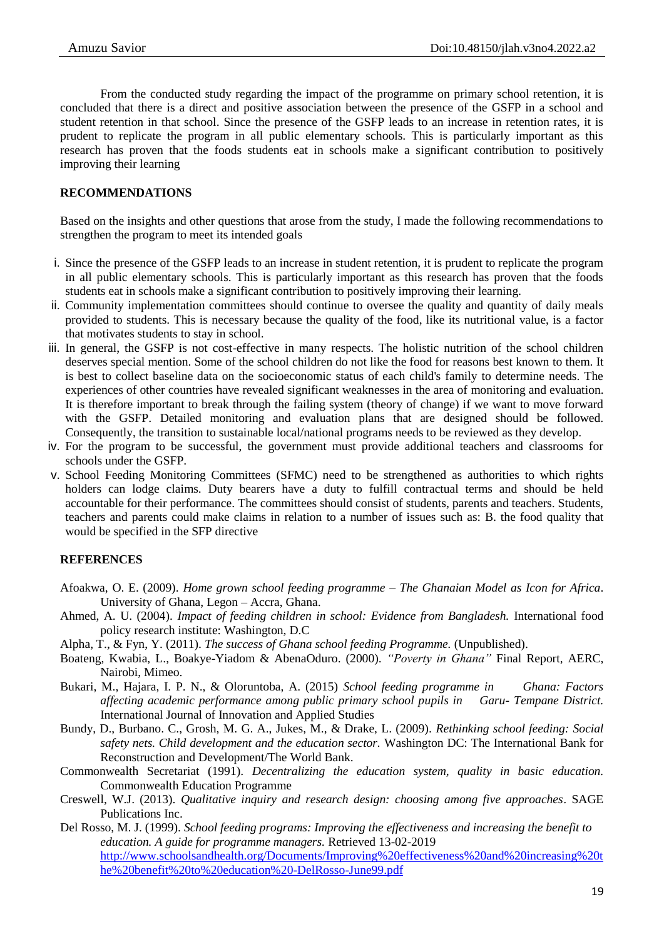From the conducted study regarding the impact of the programme on primary school retention, it is concluded that there is a direct and positive association between the presence of the GSFP in a school and student retention in that school. Since the presence of the GSFP leads to an increase in retention rates, it is prudent to replicate the program in all public elementary schools. This is particularly important as this research has proven that the foods students eat in schools make a significant contribution to positively improving their learning

# **RECOMMENDATIONS**

Based on the insights and other questions that arose from the study, I made the following recommendations to strengthen the program to meet its intended goals

- i. Since the presence of the GSFP leads to an increase in student retention, it is prudent to replicate the program in all public elementary schools. This is particularly important as this research has proven that the foods students eat in schools make a significant contribution to positively improving their learning.
- ii. Community implementation committees should continue to oversee the quality and quantity of daily meals provided to students. This is necessary because the quality of the food, like its nutritional value, is a factor that motivates students to stay in school.
- iii. In general, the GSFP is not cost-effective in many respects. The holistic nutrition of the school children deserves special mention. Some of the school children do not like the food for reasons best known to them. It is best to collect baseline data on the socioeconomic status of each child's family to determine needs. The experiences of other countries have revealed significant weaknesses in the area of monitoring and evaluation. It is therefore important to break through the failing system (theory of change) if we want to move forward with the GSFP. Detailed monitoring and evaluation plans that are designed should be followed. Consequently, the transition to sustainable local/national programs needs to be reviewed as they develop.
- iv. For the program to be successful, the government must provide additional teachers and classrooms for schools under the GSFP.
- v. School Feeding Monitoring Committees (SFMC) need to be strengthened as authorities to which rights holders can lodge claims. Duty bearers have a duty to fulfill contractual terms and should be held accountable for their performance. The committees should consist of students, parents and teachers. Students, teachers and parents could make claims in relation to a number of issues such as: B. the food quality that would be specified in the SFP directive

# **REFERENCES**

- Afoakwa, O. E. (2009). *Home grown school feeding programme – The Ghanaian Model as Icon for Africa*. University of Ghana, Legon – Accra, Ghana.
- Ahmed, A. U. (2004). *Impact of feeding children in school: Evidence from Bangladesh.* International food policy research institute: Washington, D.C
- Alpha, T., & Fyn, Y. (2011). *The success of Ghana school feeding Programme.* (Unpublished).
- Boateng, Kwabia, L., Boakye-Yiadom & AbenaOduro. (2000). *"Poverty in Ghana"* Final Report, AERC, Nairobi, Mimeo.
- Bukari, M., Hajara, I. P. N., & Oloruntoba, A. (2015) *School feeding programme in Ghana: Factors affecting academic performance among public primary school pupils in Garu- Tempane District.*  International Journal of Innovation and Applied Studies
- Bundy, D., Burbano. C., Grosh, M. G. A., Jukes, M., & Drake, L. (2009). *Rethinking school feeding: Social safety nets. Child development and the education sector.* Washington DC: The International Bank for Reconstruction and Development/The World Bank.
- Commonwealth Secretariat (1991). *Decentralizing the education system, quality in basic education.* Commonwealth Education Programme
- Creswell, W.J. (2013). *Qualitative inquiry and research design: choosing among five approaches*. SAGE Publications Inc.
- Del Rosso, M. J. (1999). *School feeding programs: Improving the effectiveness and increasing the benefit to education. A guide for programme managers.* Retrieved 13-02-2019 [http://www.schoolsandhealth.org/Documents/Improving%20effectiveness%20and%20increasing%20t](http://www.schoolsandhealth.org/Documents/Improving%20effectiveness%20and%20increasing%20the%20benefit%20to%20education%20-DelRosso-June99.pdf) [he%20benefit%20to%20education%20-DelRosso-June99.pdf](http://www.schoolsandhealth.org/Documents/Improving%20effectiveness%20and%20increasing%20the%20benefit%20to%20education%20-DelRosso-June99.pdf)